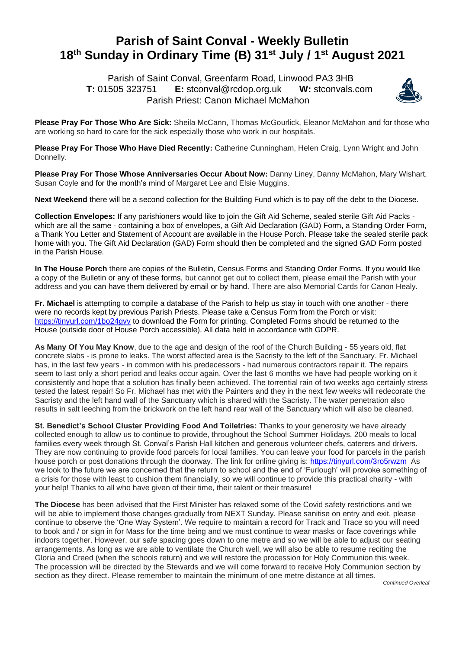## **Parish of Saint Conval - Weekly Bulletin 18 th Sunday in Ordinary Time (B) 31st July / 1st August 2021**

 Parish of Saint Conval, Greenfarm Road, Linwood PA3 3HB **T:** 01505 323751 **E:** [stconval@rcdop.org.uk](mailto:stconval@rcdop.org.uk) **W:** stconvals.com Parish Priest: Canon Michael McMahon



**Please Pray For Those Who Are Sick:** Sheila McCann, Thomas McGourlick, Eleanor McMahon and for those who are working so hard to care for the sick especially those who work in our hospitals.

**Please Pray For Those Who Have Died Recently:** Catherine Cunningham, Helen Craig, Lynn Wright and John Donnelly.

**Please Pray For Those Whose Anniversaries Occur About Now:** Danny Liney, Danny McMahon, Mary Wishart, Susan Coyle and for the month's mind of Margaret Lee and Elsie Muggins.

**Next Weekend** there will be a second collection for the Building Fund which is to pay off the debt to the Diocese.

**Collection Envelopes:** If any parishioners would like to join the Gift Aid Scheme, sealed sterile Gift Aid Packs which are all the same - containing a box of envelopes, a Gift Aid Declaration (GAD) Form, a Standing Order Form, a Thank You Letter and Statement of Account are available in the House Porch. Please take the sealed sterile pack home with you. The Gift Aid Declaration (GAD) Form should then be completed and the signed GAD Form posted in the Parish House.

**In The House Porch** there are copies of the Bulletin, Census Forms and Standing Order Forms. If you would like a copy of the Bulletin or any of these forms, but cannot get out to collect them, please email the Parish with your address and you can have them delivered by email or by hand. There are also Memorial Cards for Canon Healy.

**Fr. Michael** is attempting to compile a database of the Parish to help us stay in touch with one another - there were no records kept by previous Parish Priests. Please take a Census Form from the Porch or visit: <https://tinyurl.com/1bo24gvv> to download the Form for printing. Completed Forms should be returned to the House (outside door of House Porch accessible). All data held in accordance with GDPR.

**As Many Of You May Know**, due to the age and design of the roof of the Church Building - 55 years old, flat concrete slabs - is prone to leaks. The worst affected area is the Sacristy to the left of the Sanctuary. Fr. Michael has, in the last few years - in common with his predecessors - had numerous contractors repair it. The repairs seem to last only a short period and leaks occur again. Over the last 6 months we have had people working on it consistently and hope that a solution has finally been achieved. The torrential rain of two weeks ago certainly stress tested the latest repair! So Fr. Michael has met with the Painters and they in the next few weeks will redecorate the Sacristy and the left hand wall of the Sanctuary which is shared with the Sacristy. The water penetration also results in salt leeching from the brickwork on the left hand rear wall of the Sanctuary which will also be cleaned.

**St. Benedict's School Cluster Providing Food And Toiletries:** Thanks to your generosity we have already collected enough to allow us to continue to provide, throughout the School Summer Holidays, 200 meals to local families every week through St. Conval's Parish Hall kitchen and generous volunteer chefs, caterers and drivers. They are now continuing to provide food parcels for local families. You can leave your food for parcels in the parish house porch or post donations through the doorway. The link for online giving is:<https://tinyurl.com/3ro5rwzm>As we look to the future we are concerned that the return to school and the end of 'Furlough' will provoke something of a crisis for those with least to cushion them financially, so we will continue to provide this practical charity - with your help! Thanks to all who have given of their time, their talent or their treasure!

**The Diocese** has been advised that the First Minister has relaxed some of the Covid safety restrictions and we will be able to implement those changes gradually from NEXT Sunday. Please sanitise on entry and exit, please continue to observe the 'One Way System'. We require to maintain a record for Track and Trace so you will need to book and / or sign in for Mass for the time being and we must continue to wear masks or face coverings while indoors together. However, our safe spacing goes down to one metre and so we will be able to adjust our seating arrangements. As long as we are able to ventilate the Church well, we will also be able to resume reciting the Gloria and Creed (when the schools return) and we will restore the procession for Holy Communion this week. The procession will be directed by the Stewards and we will come forward to receive Holy Communion section by section as they direct. Please remember to maintain the minimum of one metre distance at all times.